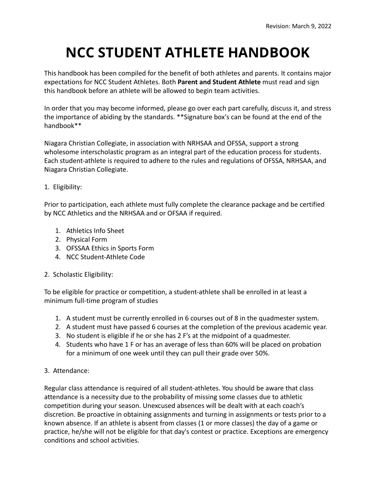# **NCC STUDENT ATHLETE HANDBOOK**

This handbook has been compiled for the benefit of both athletes and parents. It contains major expectations for NCC Student Athletes. Both **Parent and Student Athlete** must read and sign this handbook before an athlete will be allowed to begin team activities.

In order that you may become informed, please go over each part carefully, discuss it, and stress the importance of abiding by the standards. \*\*Signature box's can be found at the end of the handbook\*\*

Niagara Christian Collegiate, in association with NRHSAA and OFSSA, support a strong wholesome interscholastic program as an integral part of the education process for students. Each student-athlete is required to adhere to the rules and regulations of OFSSA, NRHSAA, and Niagara Christian Collegiate.

# 1. Eligibility:

Prior to participation, each athlete must fully complete the clearance package and be certified by NCC Athletics and the NRHSAA and or OFSAA if required.

- 1. Athletics Info Sheet
- 2. Physical Form
- 3. OFSSAA Ethics in Sports Form
- 4. NCC Student-Athlete Code

# 2. Scholastic Eligibility:

To be eligible for practice or competition, a student-athlete shall be enrolled in at least a minimum full-time program of studies

- 1. A student must be currently enrolled in 6 courses out of 8 in the quadmester system.
- 2. A student must have passed 6 courses at the completion of the previous academic year.
- 3. No student is eligible if he or she has 2 F's at the midpoint of a quadmester.
- 4. Students who have 1 F or has an average of less than 60% will be placed on probation for a minimum of one week until they can pull their grade over 50%.
- 3. Attendance:

Regular class attendance is required of all student-athletes. You should be aware that class attendance is a necessity due to the probability of missing some classes due to athletic competition during your season. Unexcused absences will be dealt with at each coach's discretion. Be proactive in obtaining assignments and turning in assignments or tests prior to a known absence. If an athlete is absent from classes (1 or more classes) the day of a game or practice, he/she will not be eligible for that day's contest or practice. Exceptions are emergency conditions and school activities.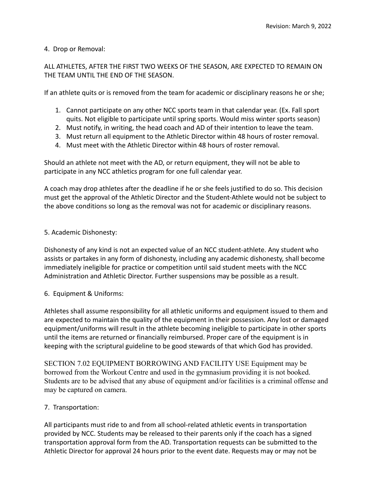# 4. Drop or Removal:

ALL ATHLETES, AFTER THE FIRST TWO WEEKS OF THE SEASON, ARE EXPECTED TO REMAIN ON THE TEAM UNTIL THE END OF THE SEASON.

If an athlete quits or is removed from the team for academic or disciplinary reasons he or she;

- 1. Cannot participate on any other NCC sports team in that calendar year. (Ex. Fall sport quits. Not eligible to participate until spring sports. Would miss winter sports season)
- 2. Must notify, in writing, the head coach and AD of their intention to leave the team.
- 3. Must return all equipment to the Athletic Director within 48 hours of roster removal.
- 4. Must meet with the Athletic Director within 48 hours of roster removal.

Should an athlete not meet with the AD, or return equipment, they will not be able to participate in any NCC athletics program for one full calendar year.

A coach may drop athletes after the deadline if he or she feels justified to do so. This decision must get the approval of the Athletic Director and the Student-Athlete would not be subject to the above conditions so long as the removal was not for academic or disciplinary reasons.

# 5. Academic Dishonesty:

Dishonesty of any kind is not an expected value of an NCC student-athlete. Any student who assists or partakes in any form of dishonesty, including any academic dishonesty, shall become immediately ineligible for practice or competition until said student meets with the NCC Administration and Athletic Director. Further suspensions may be possible as a result.

# 6. Equipment & Uniforms:

Athletes shall assume responsibility for all athletic uniforms and equipment issued to them and are expected to maintain the quality of the equipment in their possession. Any lost or damaged equipment/uniforms will result in the athlete becoming ineligible to participate in other sports until the items are returned or financially reimbursed. Proper care of the equipment is in keeping with the scriptural guideline to be good stewards of that which God has provided.

SECTION 7.02 EQUIPMENT BORROWING AND FACILITY USE Equipment may be borrowed from the Workout Centre and used in the gymnasium providing it is not booked. Students are to be advised that any abuse of equipment and/or facilities is a criminal offense and may be captured on camera.

# 7. Transportation:

All participants must ride to and from all school-related athletic events in transportation provided by NCC. Students may be released to their parents only if the coach has a signed transportation approval form from the AD. Transportation requests can be submitted to the Athletic Director for approval 24 hours prior to the event date. Requests may or may not be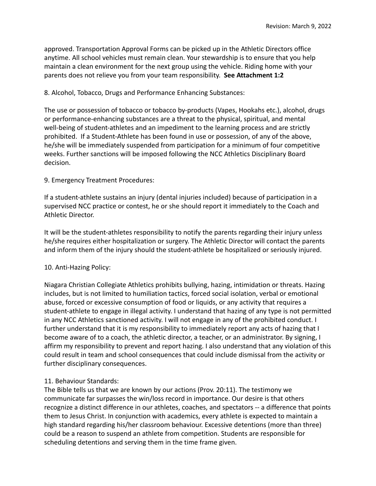approved. Transportation Approval Forms can be picked up in the Athletic Directors office anytime. All school vehicles must remain clean. Your stewardship is to ensure that you help maintain a clean environment for the next group using the vehicle. Riding home with your parents does not relieve you from your team responsibility. **See Attachment 1:2**

#### 8. Alcohol, Tobacco, Drugs and Performance Enhancing Substances:

The use or possession of tobacco or tobacco by-products (Vapes, Hookahs etc.), alcohol, drugs or performance-enhancing substances are a threat to the physical, spiritual, and mental well-being of student-athletes and an impediment to the learning process and are strictly prohibited. If a Student-Athlete has been found in use or possession, of any of the above, he/she will be immediately suspended from participation for a minimum of four competitive weeks. Further sanctions will be imposed following the NCC Athletics Disciplinary Board decision.

#### 9. Emergency Treatment Procedures:

If a student-athlete sustains an injury (dental injuries included) because of participation in a supervised NCC practice or contest, he or she should report it immediately to the Coach and Athletic Director.

It will be the student-athletes responsibility to notify the parents regarding their injury unless he/she requires either hospitalization or surgery. The Athletic Director will contact the parents and inform them of the injury should the student-athlete be hospitalized or seriously injured.

#### 10. Anti-Hazing Policy:

Niagara Christian Collegiate Athletics prohibits bullying, hazing, intimidation or threats. Hazing includes, but is not limited to humiliation tactics, forced social isolation, verbal or emotional abuse, forced or excessive consumption of food or liquids, or any activity that requires a student-athlete to engage in illegal activity. I understand that hazing of any type is not permitted in any NCC Athletics sanctioned activity. I will not engage in any of the prohibited conduct. I further understand that it is my responsibility to immediately report any acts of hazing that I become aware of to a coach, the athletic director, a teacher, or an administrator. By signing, I affirm my responsibility to prevent and report hazing. I also understand that any violation of this could result in team and school consequences that could include dismissal from the activity or further disciplinary consequences.

# 11. Behaviour Standards:

The Bible tells us that we are known by our actions (Prov. 20:11). The testimony we communicate far surpasses the win/loss record in importance. Our desire is that others recognize a distinct difference in our athletes, coaches, and spectators -- a difference that points them to Jesus Christ. In conjunction with academics, every athlete is expected to maintain a high standard regarding his/her classroom behaviour. Excessive detentions (more than three) could be a reason to suspend an athlete from competition. Students are responsible for scheduling detentions and serving them in the time frame given.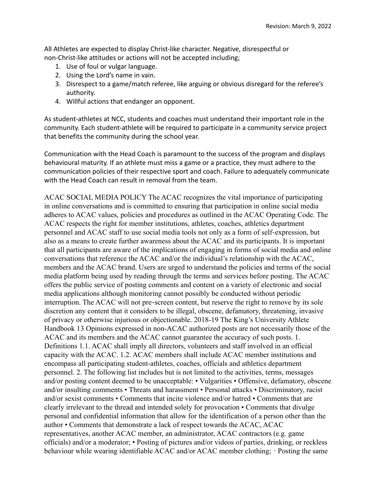All Athletes are expected to display Christ-like character. Negative, disrespectful or non-Christ-like attitudes or actions will not be accepted including;

- 1. Use of foul or vulgar language.
- 2. Using the Lord's name in vain.
- 3. Disrespect to a game/match referee, like arguing or obvious disregard for the referee's authority.
- 4. Willful actions that endanger an opponent.

As student-athletes at NCC, students and coaches must understand their important role in the community. Each student-athlete will be required to participate in a community service project that benefits the community during the school year.

Communication with the Head Coach is paramount to the success of the program and displays behavioural maturity. If an athlete must miss a game or a practice, they must adhere to the communication policies of their respective sport and coach. Failure to adequately communicate with the Head Coach can result in removal from the team.

ACAC SOCIAL MEDIA POLICY The ACAC recognizes the vital importance of participating in online conversations and is committed to ensuring that participation in online social media adheres to ACAC values, policies and procedures as outlined in the ACAC Operating Code. The ACAC respects the right for member institutions, athletes, coaches, athletics department personnel and ACAC staff to use social media tools not only as a form of self‐expression, but also as a means to create further awareness about the ACAC and its participants. It is important that all participants are aware of the implications of engaging in forms of social media and online conversations that reference the ACAC and/or the individual's relationship with the ACAC, members and the ACAC brand. Users are urged to understand the policies and terms of the social media platform being used by reading through the terms and services before posting. The ACAC offers the public service of posting comments and content on a variety of electronic and social media applications although monitoring cannot possibly be conducted without periodic interruption. The ACAC will not pre-screen content, but reserve the right to remove by its sole discretion any content that it considers to be illegal, obscene, defamatory, threatening, invasive of privacy or otherwise injurious or objectionable. 2018-19 The King's University Athlete Handbook 13 Opinions expressed in non-ACAC authorized posts are not necessarily those of the ACAC and its members and the ACAC cannot guarantee the accuracy of such posts. 1. Definitions 1.1. ACAC shall imply all directors, volunteers and staff involved in an official capacity with the ACAC. 1.2. ACAC members shall include ACAC member institutions and encompass all participating student-athletes, coaches, officials and athletics department personnel. 2. The following list includes but is not limited to the activities, terms, messages and/or posting content deemed to be unacceptable: • Vulgarities • Offensive, defamatory, obscene and/or insulting comments • Threats and harassment • Personal attacks • Discriminatory, racist and/or sexist comments • Comments that incite violence and/or hatred • Comments that are clearly irrelevant to the thread and intended solely for provocation • Comments that divulge personal and confidential information that allow for the identification of a person other than the author • Comments that demonstrate a lack of respect towards the ACAC, ACAC representatives, another ACAC member, an administrator, ACAC contractors (e.g. game officials) and/or a moderator; • Posting of pictures and/or videos of parties, drinking, or reckless behaviour while wearing identifiable ACAC and/or ACAC member clothing; ∙ Posting the same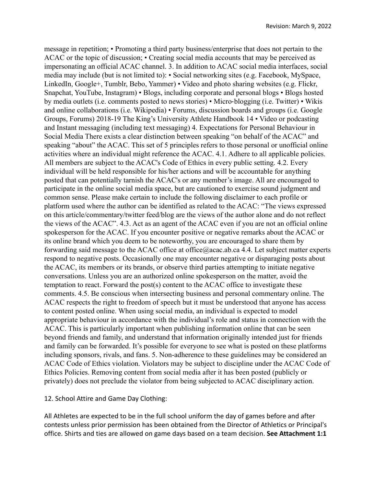message in repetition; • Promoting a third party business/enterprise that does not pertain to the ACAC or the topic of discussion; • Creating social media accounts that may be perceived as impersonating an official ACAC channel. 3. In addition to ACAC social media interfaces, social media may include (but is not limited to): • Social networking sites (e.g. Facebook, MySpace, LinkedIn, Google+, Tumblr, Bebo, Yammer) • Video and photo sharing websites (e.g. Flickr, Snapchat, YouTube, Instagram) • Blogs, including corporate and personal blogs • Blogs hosted by media outlets (i.e. comments posted to news stories) • Micro‐blogging (i.e. Twitter) • Wikis and online collaborations (i.e. Wikipedia) • Forums, discussion boards and groups (i.e. Google Groups, Forums) 2018-19 The King's University Athlete Handbook 14 • Video or podcasting and Instant messaging (including text messaging) 4. Expectations for Personal Behaviour in Social Media There exists a clear distinction between speaking "on behalf of the ACAC" and speaking "about" the ACAC. This set of 5 principles refers to those personal or unofficial online activities where an individual might reference the ACAC. 4.1. Adhere to all applicable policies. All members are subject to the ACAC's Code of Ethics in every public setting. 4.2. Every individual will be held responsible for his/her actions and will be accountable for anything posted that can potentially tarnish the ACAC's or any member's image. All are encouraged to participate in the online social media space, but are cautioned to exercise sound judgment and common sense. Please make certain to include the following disclaimer to each profile or platform used where the author can be identified as related to the ACAC: "The views expressed on this article/commentary/twitter feed/blog are the views of the author alone and do not reflect the views of the ACAC". 4.3. Act as an agent of the ACAC even if you are not an official online spokesperson for the ACAC. If you encounter positive or negative remarks about the ACAC or its online brand which you deem to be noteworthy, you are encouraged to share them by forwarding said message to the ACAC office at office@acac.ab.ca 4.4. Let subject matter experts respond to negative posts. Occasionally one may encounter negative or disparaging posts about the ACAC, its members or its brands, or observe third parties attempting to initiate negative conversations. Unless you are an authorized online spokesperson on the matter, avoid the temptation to react. Forward the post(s) content to the ACAC office to investigate these comments. 4.5. Be conscious when intersecting business and personal commentary online. The ACAC respects the right to freedom of speech but it must be understood that anyone has access to content posted online. When using social media, an individual is expected to model appropriate behaviour in accordance with the individual's role and status in connection with the ACAC. This is particularly important when publishing information online that can be seen beyond friends and family, and understand that information originally intended just for friends and family can be forwarded. It's possible for everyone to see what is posted on these platforms including sponsors, rivals, and fans. 5. Non-adherence to these guidelines may be considered an ACAC Code of Ethics violation. Violators may be subject to discipline under the ACAC Code of Ethics Policies. Removing content from social media after it has been posted (publicly or privately) does not preclude the violator from being subjected to ACAC disciplinary action.

#### 12. School Attire and Game Day Clothing:

All Athletes are expected to be in the full school uniform the day of games before and after contests unless prior permission has been obtained from the Director of Athletics or Principal's office. Shirts and ties are allowed on game days based on a team decision. **See Attachment 1:1**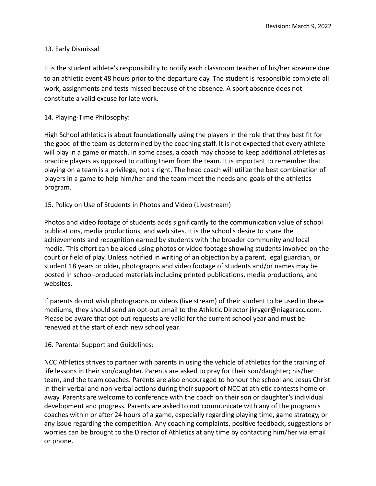#### 13. Early Dismissal

It is the student athlete's responsibility to notify each classroom teacher of his/her absence due to an athletic event 48 hours prior to the departure day. The student is responsible complete all work, assignments and tests missed because of the absence. A sport absence does not constitute a valid excuse for late work.

#### 14. Playing-Time Philosophy:

High School athletics is about foundationally using the players in the role that they best fit for the good of the team as determined by the coaching staff. It is not expected that every athlete will play in a game or match. In some cases, a coach may choose to keep additional athletes as practice players as opposed to cutting them from the team. It is important to remember that playing on a team is a privilege, not a right. The head coach will utilize the best combination of players in a game to help him/her and the team meet the needs and goals of the athletics program.

#### 15. Policy on Use of Students in Photos and Video (Livestream)

Photos and video footage of students adds significantly to the communication value of school publications, media productions, and web sites. It is the school's desire to share the achievements and recognition earned by students with the broader community and local media. This effort can be aided using photos or video footage showing students involved on the court or field of play. Unless notified in writing of an objection by a parent, legal guardian, or student 18 years or older, photographs and video footage of students and/or names may be posted in school-produced materials including printed publications, media productions, and websites.

If parents do not wish photographs or videos (live stream) of their student to be used in these mediums, they should send an opt-out email to the Athletic Director jkryger@niagaracc.com. Please be aware that opt-out requests are valid for the current school year and must be renewed at the start of each new school year.

16. Parental Support and Guidelines:

NCC Athletics strives to partner with parents in using the vehicle of athletics for the training of life lessons in their son/daughter. Parents are asked to pray for their son/daughter; his/her team, and the team coaches. Parents are also encouraged to honour the school and Jesus Christ in their verbal and non-verbal actions during their support of NCC at athletic contests home or away. Parents are welcome to conference with the coach on their son or daughter's individual development and progress. Parents are asked to not communicate with any of the program's coaches within or after 24 hours of a game, especially regarding playing time, game strategy, or any issue regarding the competition. Any coaching complaints, positive feedback, suggestions or worries can be brought to the Director of Athletics at any time by contacting him/her via email or phone.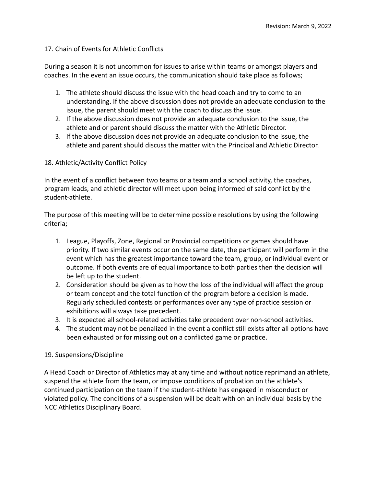#### 17. Chain of Events for Athletic Conflicts

During a season it is not uncommon for issues to arise within teams or amongst players and coaches. In the event an issue occurs, the communication should take place as follows;

- 1. The athlete should discuss the issue with the head coach and try to come to an understanding. If the above discussion does not provide an adequate conclusion to the issue, the parent should meet with the coach to discuss the issue.
- 2. If the above discussion does not provide an adequate conclusion to the issue, the athlete and or parent should discuss the matter with the Athletic Director.
- 3. If the above discussion does not provide an adequate conclusion to the issue, the athlete and parent should discuss the matter with the Principal and Athletic Director.

#### 18. Athletic/Activity Conflict Policy

In the event of a conflict between two teams or a team and a school activity, the coaches, program leads, and athletic director will meet upon being informed of said conflict by the student-athlete.

The purpose of this meeting will be to determine possible resolutions by using the following criteria;

- 1. League, Playoffs, Zone, Regional or Provincial competitions or games should have priority. If two similar events occur on the same date, the participant will perform in the event which has the greatest importance toward the team, group, or individual event or outcome. If both events are of equal importance to both parties then the decision will be left up to the student.
- 2. Consideration should be given as to how the loss of the individual will affect the group or team concept and the total function of the program before a decision is made. Regularly scheduled contests or performances over any type of practice session or exhibitions will always take precedent.
- 3. It is expected all school-related activities take precedent over non-school activities.
- 4. The student may not be penalized in the event a conflict still exists after all options have been exhausted or for missing out on a conflicted game or practice.

#### 19. Suspensions/Discipline

A Head Coach or Director of Athletics may at any time and without notice reprimand an athlete, suspend the athlete from the team, or impose conditions of probation on the athlete's continued participation on the team if the student-athlete has engaged in misconduct or violated policy. The conditions of a suspension will be dealt with on an individual basis by the NCC Athletics Disciplinary Board.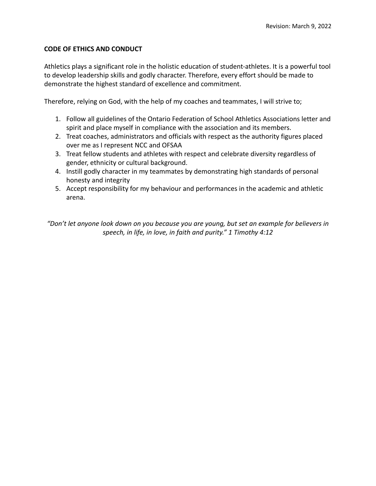#### **CODE OF ETHICS AND CONDUCT**

Athletics plays a significant role in the holistic education of student-athletes. It is a powerful tool to develop leadership skills and godly character. Therefore, every effort should be made to demonstrate the highest standard of excellence and commitment.

Therefore, relying on God, with the help of my coaches and teammates, I will strive to;

- 1. Follow all guidelines of the Ontario Federation of School Athletics Associations letter and spirit and place myself in compliance with the association and its members.
- 2. Treat coaches, administrators and officials with respect as the authority figures placed over me as I represent NCC and OFSAA
- 3. Treat fellow students and athletes with respect and celebrate diversity regardless of gender, ethnicity or cultural background.
- 4. Instill godly character in my teammates by demonstrating high standards of personal honesty and integrity
- 5. Accept responsibility for my behaviour and performances in the academic and athletic arena.

*"Don't let anyone look down on you because you are young, but set an example for believers in speech, in life, in love, in faith and purity." 1 Timothy 4:12*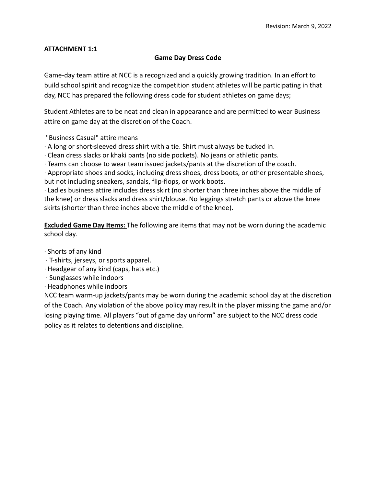#### **Game Day Dress Code**

Game-day team attire at NCC is a recognized and a quickly growing tradition. In an effort to build school spirit and recognize the competition student athletes will be participating in that day, NCC has prepared the following dress code for student athletes on game days;

Student Athletes are to be neat and clean in appearance and are permitted to wear Business attire on game day at the discretion of the Coach.

"Business Casual" attire means

∙ A long or short-sleeved dress shirt with a tie. Shirt must always be tucked in.

∙ Clean dress slacks or khaki pants (no side pockets). No jeans or athletic pants.

∙ Teams can choose to wear team issued jackets/pants at the discretion of the coach.

∙ Appropriate shoes and socks, including dress shoes, dress boots, or other presentable shoes, but not including sneakers, sandals, flip-flops, or work boots.

∙ Ladies business attire includes dress skirt (no shorter than three inches above the middle of the knee) or dress slacks and dress shirt/blouse. No leggings stretch pants or above the knee skirts (shorter than three inches above the middle of the knee).

**Excluded Game Day Items:** The following are items that may not be worn during the academic school day.

∙ Shorts of any kind

- ∙ T-shirts, jerseys, or sports apparel.
- ∙ Headgear of any kind (caps, hats etc.)
- ∙ Sunglasses while indoors
- ∙ Headphones while indoors

NCC team warm-up jackets/pants may be worn during the academic school day at the discretion of the Coach. Any violation of the above policy may result in the player missing the game and/or losing playing time. All players "out of game day uniform" are subject to the NCC dress code policy as it relates to detentions and discipline.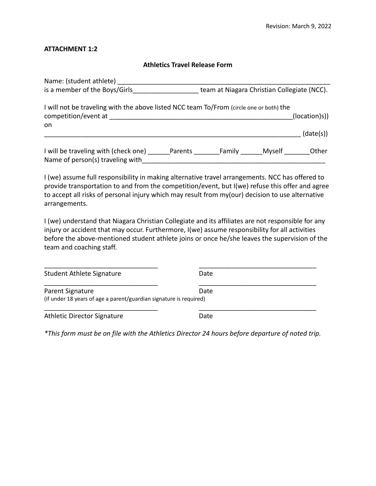#### **Athletics Travel Release Form**

| Name: (student athlete)                                                                                         |         |                                             |        |               |
|-----------------------------------------------------------------------------------------------------------------|---------|---------------------------------------------|--------|---------------|
| is a member of the Boys/Girls                                                                                   |         | team at Niagara Christian Collegiate (NCC). |        |               |
| I will not be traveling with the above listed NCC team To/From (circle one or both) the<br>competition/event at |         |                                             |        | (location)s)) |
| on                                                                                                              |         |                                             |        | (date(s))     |
| I will be traveling with (check one)<br>Name of person(s) traveling with                                        | Parents | Family                                      | Myself | Other         |

I (we) assume full responsibility in making alternative travel arrangements. NCC has offered to provide transportation to and from the competition/event, but I(we) refuse this offer and agree to accept all risks of personal injury which may result from my(our) decision to use alternative arrangements.

I (we) understand that Niagara Christian Collegiate and its affiliates are not responsible for any injury or accident that may occur. Furthermore, I(we) assume responsibility for all activities before the above-mentioned student athlete joins or once he/she leaves the supervision of the team and coaching staff.

| Student Athlete Signature                                                              | Date |  |
|----------------------------------------------------------------------------------------|------|--|
| Parent Signature<br>(if under 18 years of age a parent/guardian signature is required) | Date |  |
| Athletic Director Signature                                                            | Date |  |

*\*This form must be on file with the Athletics Director 24 hours before departure of noted trip.*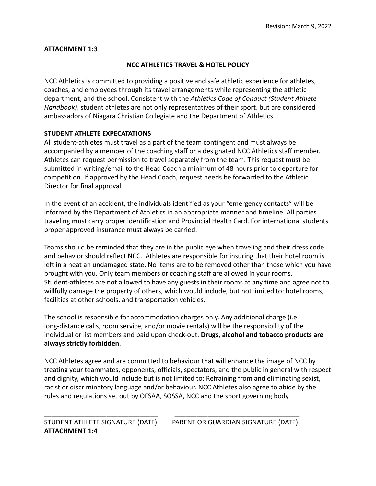# **NCC ATHLETICS TRAVEL & HOTEL POLICY**

NCC Athletics is committed to providing a positive and safe athletic experience for athletes, coaches, and employees through its travel arrangements while representing the athletic department, and the school. Consistent with the *Athletics Code of Conduct (Student Athlete Handbook)*, student athletes are not only representatives of their sport, but are considered ambassadors of Niagara Christian Collegiate and the Department of Athletics.

# **STUDENT ATHLETE EXPECATATIONS**

All student-athletes must travel as a part of the team contingent and must always be accompanied by a member of the coaching staff or a designated NCC Athletics staff member. Athletes can request permission to travel separately from the team. This request must be submitted in writing/email to the Head Coach a minimum of 48 hours prior to departure for competition. If approved by the Head Coach, request needs be forwarded to the Athletic Director for final approval

In the event of an accident, the individuals identified as your "emergency contacts" will be informed by the Department of Athletics in an appropriate manner and timeline. All parties traveling must carry proper identification and Provincial Health Card. For international students proper approved insurance must always be carried.

Teams should be reminded that they are in the public eye when traveling and their dress code and behavior should reflect NCC. Athletes are responsible for insuring that their hotel room is left in a neat an undamaged state. No items are to be removed other than those which you have brought with you. Only team members or coaching staff are allowed in your rooms. Student-athletes are not allowed to have any guests in their rooms at any time and agree not to willfully damage the property of others, which would include, but not limited to: hotel rooms, facilities at other schools, and transportation vehicles.

The school is responsible for accommodation charges only. Any additional charge (i.e. long-distance calls, room service, and/or movie rentals) will be the responsibility of the individual or list members and paid upon check-out. **Drugs, alcohol and tobacco products are always strictly forbidden**.

NCC Athletes agree and are committed to behaviour that will enhance the image of NCC by treating your teammates, opponents, officials, spectators, and the public in general with respect and dignity, which would include but is not limited to: Refraining from and eliminating sexist, racist or discriminatory language and/or behaviour. NCC Athletes also agree to abide by the rules and regulations set out by OFSAA, SOSSA, NCC and the sport governing body.

\_\_\_\_\_\_\_\_\_\_\_\_\_\_\_\_\_\_\_\_\_\_\_\_\_\_\_\_\_\_\_ \_\_\_\_\_\_\_\_\_\_\_\_\_\_\_\_\_\_\_\_\_\_\_\_\_\_\_\_\_\_\_\_\_\_

STUDENT ATHLETE SIGNATURE (DATE) PARENT OR GUARDIAN SIGNATURE (DATE)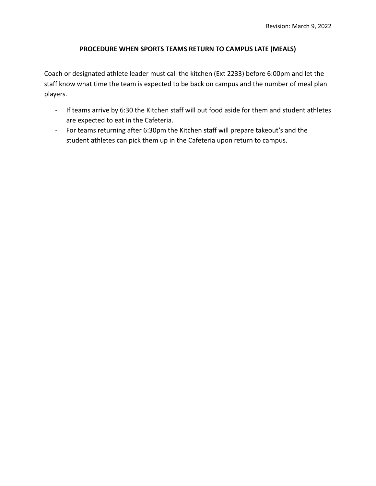# **PROCEDURE WHEN SPORTS TEAMS RETURN TO CAMPUS LATE (MEALS)**

Coach or designated athlete leader must call the kitchen (Ext 2233) before 6:00pm and let the staff know what time the team is expected to be back on campus and the number of meal plan players.

- If teams arrive by 6:30 the Kitchen staff will put food aside for them and student athletes are expected to eat in the Cafeteria.
- For teams returning after 6:30pm the Kitchen staff will prepare takeout's and the student athletes can pick them up in the Cafeteria upon return to campus.